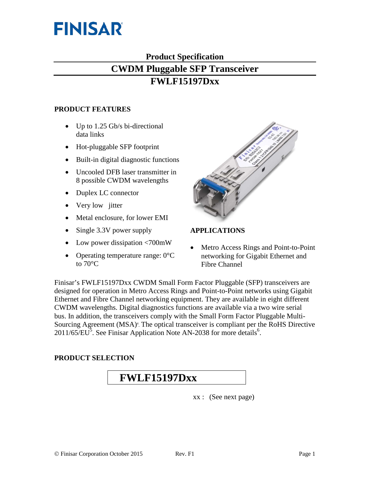

# **Product Specification**

# **CWDM Pluggable SFP Transceiver**

# **FWLF15197Dxx**

#### **PRODUCT FEATURES**

- Up to 1.25 Gb/s bi-directional data links
- Hot-pluggable SFP footprint
- Built-in digital diagnostic functions
- Uncooled DFB laser transmitter in 8 possible CWDM wavelengths
- Duplex LC connector
- Very low jitter
- Metal enclosure, for lower EMI
- Single 3.3V power supply
- Low power dissipation <700mW
- Operating temperature range:  $0^{\circ}$ C to 70°C



# **APPLICATIONS**

• Metro Access Rings and Point-to-Point networking for Gigabit Ethernet and Fibre Channel

Finisar's FWLF15197Dxx CWDM Small Form Factor Pluggable (SFP) transceivers are designed for operation in Metro Access Rings and Point-to-Point networks using Gigabit Ethernet and Fibre Channel networking equipment. They are available in eight different CWDM wavelengths. Digital diagnostics functions are available via a two wire serial bus. In addition, the transceivers comply with the Small Form Factor Pluggable Multi-Sourcing Agreement (MSA)<sup>4</sup>. The optical transceiver is compliant per the RoHS Directive  $2011/65/EU<sup>5</sup>$ . See Finisar Application Note AN-2038 for more details<sup>6</sup>.

# **PRODUCT SELECTION**

# **FWLF15197Dxx**

xx : (See next page)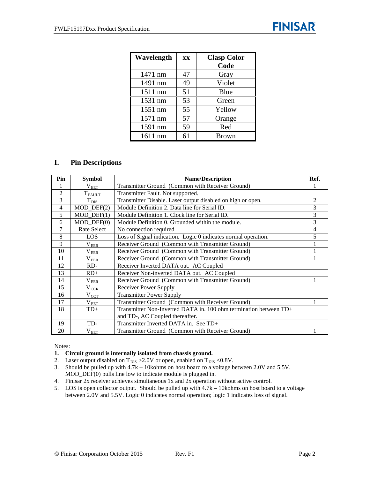| Wavelength | <b>XX</b> | <b>Clasp Color</b> |
|------------|-----------|--------------------|
|            |           | Code               |
| 1471 nm    | 47        | Gray               |
| 1491 nm    | 49        | Violet             |
| 1511 nm    | 51        | Blue               |
| 1531 nm    | 53        | Green              |
| 1551 nm    | 55        | Yellow             |
| 1571 nm    | 57        | Orange             |
| 1591 nm    | 59        | Red                |
| 1611 nm    | 61        | <b>Brown</b>       |

### **I. Pin Descriptions**

| Pin            | <b>Symbol</b>               | <b>Name/Description</b>                                           | Ref. |
|----------------|-----------------------------|-------------------------------------------------------------------|------|
|                | $\rm V_{EET}$               | Transmitter Ground (Common with Receiver Ground)                  |      |
| $\overline{2}$ | $T_{F\underline{AULT}}$     | Transmitter Fault. Not supported.                                 |      |
| 3              | $T_{D\underline{IS}}$       | Transmitter Disable. Laser output disabled on high or open.       | 2    |
| 4              | $MOD$ $DEF(2)$              | Module Definition 2. Data line for Serial ID.                     | 3    |
| 5              | $MOD_$ <del>DEF</del> $(1)$ | Module Definition 1. Clock line for Serial ID.                    | 3    |
| 6              | $MOD_$ DEF $(0)$            | Module Definition 0. Grounded within the module.                  | 3    |
| 7              | Rate Select                 | No connection required                                            | 4    |
| 8              | LOS                         | Loss of Signal indication. Logic 0 indicates normal operation.    | 5    |
| 9              | $\rm V_{\rm EER}$           | Receiver Ground (Common with Transmitter Ground)                  |      |
| 10             | $\rm V_{EER}$               | Receiver Ground (Common with Transmitter Ground)                  |      |
| 11             | $\rm V_{EER}$               | Receiver Ground (Common with Transmitter Ground)                  |      |
| 12             | RD-                         | Receiver Inverted DATA out. AC Coupled                            |      |
| 13             | $RD+$                       | Receiver Non-inverted DATA out. AC Coupled                        |      |
| 14             | $\rm V_{\rm EER}$           | Receiver Ground (Common with Transmitter Ground)                  |      |
| 15             | $V_{CCR}$                   | Receiver Power Supply                                             |      |
| 16             | $V_{\text{CCT}}$            | <b>Transmitter Power Supply</b>                                   |      |
| 17             | $\rm V_{\rm EET}$           | Transmitter Ground (Common with Receiver Ground)                  |      |
| 18             | $TD+$                       | Transmitter Non-Inverted DATA in. 100 ohm termination between TD+ |      |
|                |                             | and TD-, AC Coupled thereafter.                                   |      |
| 19             | TD-                         | Transmitter Inverted DATA in. See TD+                             |      |
| 20             | $\rm V_{EET}$               | Transmitter Ground (Common with Receiver Ground)                  |      |

#### Notes:

#### **1. Circuit ground is internally isolated from chassis ground.**

- 2. Laser output disabled on  $T_{DIS} > 2.0V$  or open, enabled on  $T_{DIS} < 0.8V$ .
- 3. Should be pulled up with 4.7k 10kohms on host board to a voltage between 2.0V and 5.5V. MOD\_DEF(0) pulls line low to indicate module is plugged in.
- 4. Finisar 2x receiver achieves simultaneous 1x and 2x operation without active control.
- 5. LOS is open collector output. Should be pulled up with 4.7k 10kohms on host board to a voltage between 2.0V and 5.5V. Logic 0 indicates normal operation; logic 1 indicates loss of signal.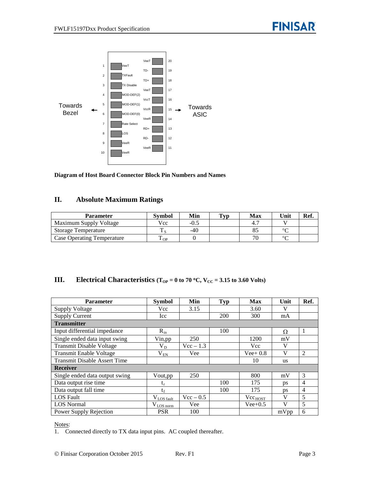

**Diagram of Host Board Connector Block Pin Numbers and Names**

# **II. Absolute Maximum Ratings**

| <b>Parameter</b>           | Svmbol                         | Min    | $\mathbf{T}_{\mathbf{V}\mathbf{D}}$ | <b>Max</b> | Unit   | Ref. |
|----------------------------|--------------------------------|--------|-------------------------------------|------------|--------|------|
| Maximum Supply Voltage     | Vcc                            | $-0.5$ |                                     |            |        |      |
| <b>Storage Temperature</b> |                                | $-40$  |                                     |            | $\sim$ |      |
| Case Operating Temperature | $\mathbf{r}$<br>$\triangle$ OP |        |                                     |            | $\sim$ |      |

# **III. Electrical Characteristics** ( $T_{OP} = 0$  to 70 °C,  $V_{CC} = 3.15$  to 3.60 Volts)

| <b>Parameter</b>                    | <b>Symbol</b>           | Min         | <b>Typ</b> | <b>Max</b>          | Unit         | Ref.           |
|-------------------------------------|-------------------------|-------------|------------|---------------------|--------------|----------------|
| <b>Supply Voltage</b>               | Vcc                     | 3.15        |            | 3.60                | V            |                |
| <b>Supply Current</b>               | Icc                     |             | 200        | 300                 | mA           |                |
| <b>Transmitter</b>                  |                         |             |            |                     |              |                |
| Input differential impedance        | $R_{in}$                |             | 100        |                     | Ω            | 1              |
| Single ended data input swing       | Vin, pp                 | 250         |            | 1200                | mV           |                |
| <b>Transmit Disable Voltage</b>     | $V_D$                   | $Vec - 1.3$ |            | Vcc                 | V            |                |
| <b>Transmit Enable Voltage</b>      | $\rm V_{\rm EN}$        | Vee         |            | $Vee+0.8$           | V            | 2              |
| <b>Transmit Disable Assert Time</b> |                         |             |            | 10                  | <b>us</b>    |                |
| <b>Receiver</b>                     |                         |             |            |                     |              |                |
| Single ended data output swing      | Vout, pp                | 250         |            | 800                 | mV           | 3              |
| Data output rise time               | t,                      |             | 100        | 175                 | ps           | $\overline{4}$ |
| Data output fall time               | te                      |             | 100        | 175                 | ps           | 4              |
| <b>LOS</b> Fault                    | $V_{LOS \text{ fault}}$ | $Vec - 0.5$ |            | Vec <sub>HOST</sub> | V            | 5              |
| <b>LOS</b> Normal                   | $V_{LOS\,norm}$         | Vee         |            | $Vee+0.5$           | $\mathbf{V}$ | 5              |
| Power Supply Rejection              | <b>PSR</b>              | 100         |            |                     | mVpp         | 6              |

Notes:

1. Connected directly to TX data input pins. AC coupled thereafter.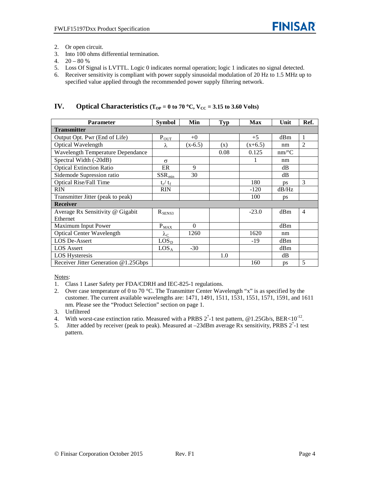- 2. Or open circuit.
- 3. Into 100 ohms differential termination.
- 4.  $20 80 %$
- 5. Loss Of Signal is LVTTL. Logic 0 indicates normal operation; logic 1 indicates no signal detected.
- 6. Receiver sensitivity is compliant with power supply sinusoidal modulation of 20 Hz to 1.5 MHz up to specified value applied through the recommended power supply filtering network.

# **IV. Optical Characteristics** ( $T_{OP} = 0$  to 70 °C,  $V_{CC} = 3.15$  to 3.60 Volts)

| <b>Parameter</b>                     | <b>Symbol</b>     | Min       | <b>Typ</b> | Max       | Unit      | Ref.           |  |
|--------------------------------------|-------------------|-----------|------------|-----------|-----------|----------------|--|
| <b>Transmitter</b>                   |                   |           |            |           |           |                |  |
| Output Opt. Pwr (End of Life)        | $P_{\text{OUT}}$  | $+0$      |            | $+5$      | dBm       | $\mathbf{1}$   |  |
| <b>Optical Wavelength</b>            | λ                 | $(x-6.5)$ | (x)        | $(x+6.5)$ | nm        | $\overline{2}$ |  |
| Wavelength Temperature Dependance    |                   |           | 0.08       | 0.125     | $nm$ /°C  |                |  |
| Spectral Width (-20dB)               | $\sigma$          |           |            |           | nm        |                |  |
| <b>Optical Extinction Ratio</b>      | ER                | 9         |            |           | dB        |                |  |
| Sidemode Supression ratio            | $SSR_{min}$       | 30        |            |           | dB        |                |  |
| <b>Optical Rise/Fall Time</b>        | $t_r / t_f$       |           |            | 180       | <b>ps</b> | 3              |  |
| <b>RIN</b>                           | <b>RIN</b>        |           |            | $-120$    | dB/Hz     |                |  |
| Transmitter Jitter (peak to peak)    |                   |           |            | 100       | ps        |                |  |
| <b>Receiver</b>                      |                   |           |            |           |           |                |  |
| Average Rx Sensitivity @ Gigabit     | $R_{SENS3}$       |           |            | $-23.0$   | dBm       | $\overline{4}$ |  |
| Ethernet                             |                   |           |            |           |           |                |  |
| Maximum Input Power                  | $P_{\text{MAX}}$  | $\Omega$  |            |           | dBm       |                |  |
| <b>Optical Center Wavelength</b>     | $\lambda_{\rm C}$ | 1260      |            | 1620      | nm        |                |  |
| LOS De-Assert                        | LOS <sub>D</sub>  |           |            | -19       | dBm       |                |  |
| <b>LOS</b> Assert                    | LOS <sub>A</sub>  | $-30$     |            |           | dBm       |                |  |
| <b>LOS Hysteresis</b>                |                   |           | 1.0        |           | dB        |                |  |
| Receiver Jitter Generation @1.25Gbps |                   |           |            | 160       | ps        | 5              |  |

Notes:

- 1. Class 1 Laser Safety per FDA/CDRH and IEC-825-1 regulations.
- 2. Over case temperature of 0 to 70 °C. The Transmitter Center Wavelength "x" is as specified by the customer. The current available wavelengths are: 1471, 1491, 1511, 1531, 1551, 1571, 1591, and 1611 nm. Please see the "Product Selection" section on page 1.
- 3. Unfiltered
- 4. With worst-case extinction ratio. Measured with a PRBS  $2^7$ -1 test pattern, @1.25Gb/s, BER<10<sup>-12</sup>.
- 5. Jitter added by receiver (peak to peak). Measured at  $-23$ dBm average Rx sensitivity, PRBS  $2^7$ -1 test pattern.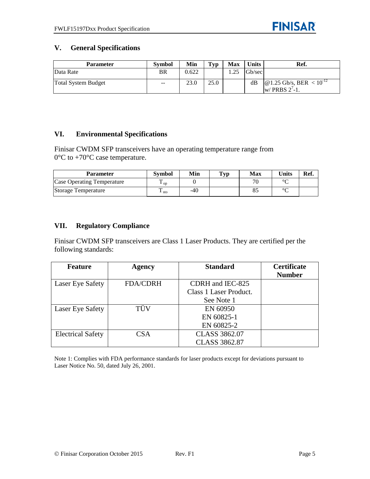# **V. General Specifications**

| <b>Parameter</b>           | <b>Symbol</b> | Min   | Typ  | <b>Max</b> | <b>Units</b> | Ref.                                                                              |
|----------------------------|---------------|-------|------|------------|--------------|-----------------------------------------------------------------------------------|
| Data Rate                  | BR            | 0.622 |      | .25        | Gb/sec       |                                                                                   |
| <b>Total System Budget</b> | $\sim$ $\sim$ | 23.0  | 25.0 |            | dВ           | $\omega$ 1.25 Gb/s, BER < 10 <sup>-12</sup><br>$\vert$ w/ PRBS 2 <sup>7</sup> -1. |

# **VI. Environmental Specifications**

Finisar CWDM SFP transceivers have an operating temperature range from  $0^{\circ}$ C to +70 $^{\circ}$ C case temperature.

| <b>Parameter</b>                  | <b>Symbol</b>          | Min | $\mathbf{T}_{\mathbf{V}\mathbf{p}}$ | Max          | <b>Units</b> | Ref. |
|-----------------------------------|------------------------|-----|-------------------------------------|--------------|--------------|------|
| <b>Case Operating Temperature</b> | $\mathbf{L}$ op        |     |                                     | $\pi$        | $\sim$       |      |
| Storage Temperature               | ᠇᠇<br>$\mathbf{I}$ sto | -40 |                                     | $\mathbf{o}$ | $\sim$       |      |

### **VII. Regulatory Compliance**

Finisar CWDM SFP transceivers are Class 1 Laser Products. They are certified per the following standards:

| Feature                  | <b>Agency</b>   | <b>Standard</b>        | <b>Certificate</b> |
|--------------------------|-----------------|------------------------|--------------------|
|                          |                 |                        | <b>Number</b>      |
| Laser Eye Safety         | <b>FDA/CDRH</b> | CDRH and IEC-825       |                    |
|                          |                 | Class 1 Laser Product. |                    |
|                          |                 | See Note 1             |                    |
| Laser Eye Safety         | $\cdot$<br>TÜV  | EN 60950               |                    |
|                          |                 | EN 60825-1             |                    |
|                          |                 | EN 60825-2             |                    |
| <b>Electrical Safety</b> | CSA             | <b>CLASS 3862.07</b>   |                    |
|                          |                 | <b>CLASS 3862.87</b>   |                    |

Note 1: Complies with FDA performance standards for laser products except for deviations pursuant to Laser Notice No. 50, dated July 26, 2001.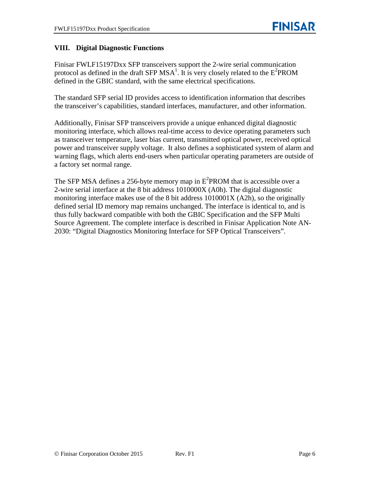# **VIII. Digital Diagnostic Functions**

Finisar FWLF15197Dxx SFP transceivers support the 2-wire serial communication protocol as defined in the draft SFP MSA<sup>1</sup>. It is very closely related to the  $E^2$ PROM defined in the GBIC standard, with the same electrical specifications.

The standard SFP serial ID provides access to identification information that describes the transceiver's capabilities, standard interfaces, manufacturer, and other information.

Additionally, Finisar SFP transceivers provide a unique enhanced digital diagnostic monitoring interface, which allows real-time access to device operating parameters such as transceiver temperature, laser bias current, transmitted optical power, received optical power and transceiver supply voltage. It also defines a sophisticated system of alarm and warning flags, which alerts end-users when particular operating parameters are outside of a factory set normal range.

The SFP MSA defines a 256-byte memory map in  $E^2$ PROM that is accessible over a 2-wire serial interface at the 8 bit address 1010000X (A0h). The digital diagnostic monitoring interface makes use of the 8 bit address 1010001X (A2h), so the originally defined serial ID memory map remains unchanged. The interface is identical to, and is thus fully backward compatible with both the GBIC Specification and the SFP Multi Source Agreement. The complete interface is described in Finisar Application Note AN-2030: "Digital Diagnostics Monitoring Interface for SFP Optical Transceivers".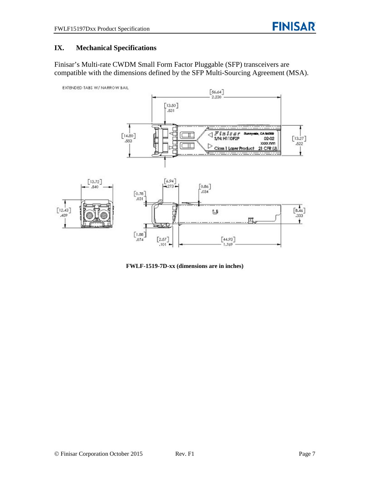# **IX. Mechanical Specifications**

Finisar's Multi-rate CWDM Small Form Factor Pluggable (SFP) transceivers are compatible with the dimensions defined by the SFP Multi-Sourcing Agreement (MSA).



**FWLF-1519-7D-xx (dimensions are in inches)**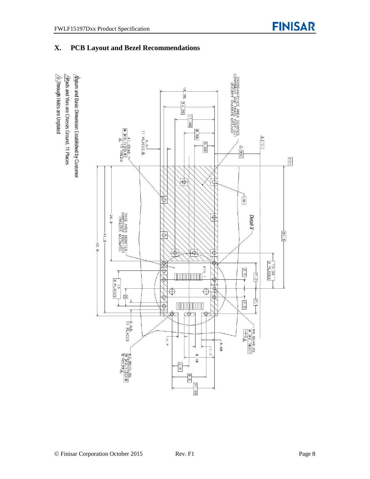# **X. PCB Layout and Bezel Recommendations**

 $\hat{\triangle}$ Through Holes are Unplated  $\sqrt{2}$ Rads and Vias are Chassis Ground, 11 Places  $\Delta$ atum and Basic Dimension Established by Customer

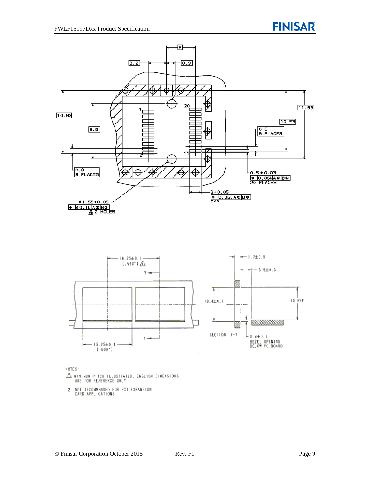



NOTES:

- $\triangle$  MINIMUM PITCH ILLUSTRATED, ÉNGLISH DIMENSIONS ARE FOR REFERENCE ONLY
- 2. NOT RECOMMENDED FOR PCI EXPANSION CARD APPLICATIONS